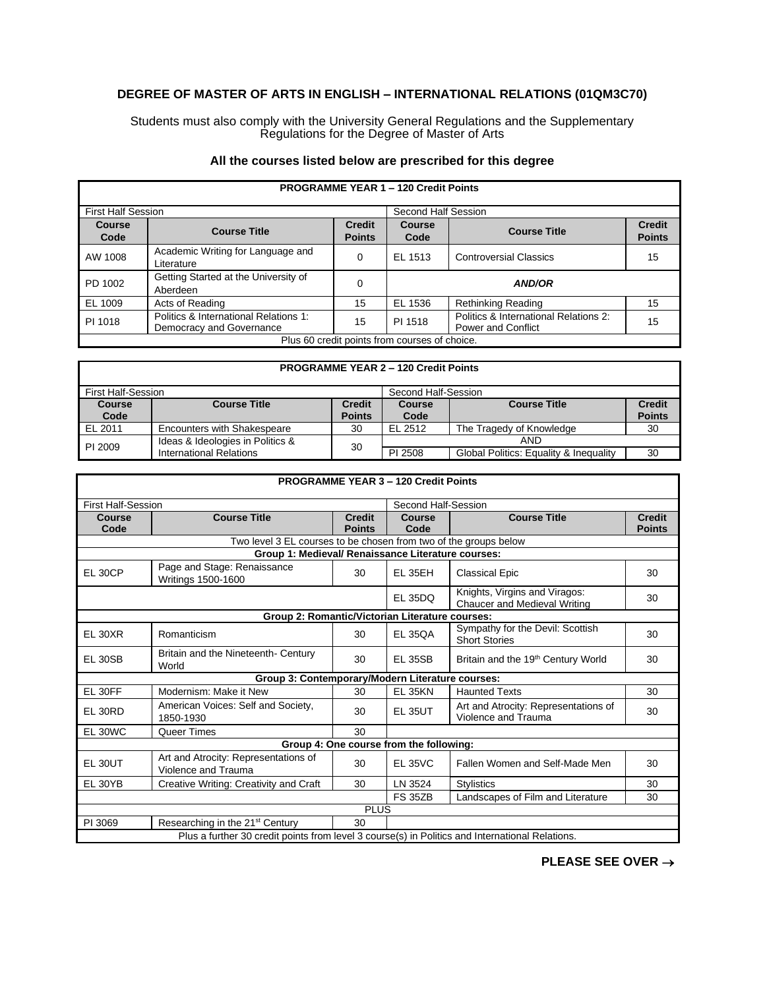## **DEGREE OF MASTER OF ARTS IN ENGLISH – INTERNATIONAL RELATIONS (01QM3C70)**

Students must also comply with the University General Regulations and the Supplementary Regulations for the Degree of Master of Arts

| <b>PROGRAMME YEAR 1 - 120 Credit Points</b>   |                                                                   |                                |                       |                                                                    |                                |  |
|-----------------------------------------------|-------------------------------------------------------------------|--------------------------------|-----------------------|--------------------------------------------------------------------|--------------------------------|--|
| <b>First Half Session</b>                     |                                                                   |                                | Second Half Session   |                                                                    |                                |  |
| <b>Course</b><br>Code                         | <b>Course Title</b>                                               | <b>Credit</b><br><b>Points</b> | <b>Course</b><br>Code | <b>Course Title</b>                                                | <b>Credit</b><br><b>Points</b> |  |
| AW 1008                                       | Academic Writing for Language and<br>Literature                   | 0                              | EL 1513               | <b>Controversial Classics</b>                                      | 15                             |  |
| PD 1002                                       | Getting Started at the University of<br>Aberdeen                  | 0                              |                       | <b>AND/OR</b>                                                      |                                |  |
| EL 1009                                       | Acts of Reading                                                   | 15                             | EL 1536               | <b>Rethinking Reading</b>                                          | 15                             |  |
| PI 1018                                       | Politics & International Relations 1:<br>Democracy and Governance | 15                             | PI 1518               | Politics & International Relations 2:<br><b>Power and Conflict</b> | 15                             |  |
| Plus 60 credit points from courses of choice. |                                                                   |                                |                       |                                                                    |                                |  |

## **PROGRAMME YEAR 2 – 120 Credit Points** First Half-Session Second Half-Session **Course**  Code<br>EL 2011 **Course Title Credit Points Course**  Code<br>EL 2512 **Course Title Credit Points** Encounters with Shakespeare 30 EL 2512 The Tragedy of Knowledge 30<br>Ideas & Ideologies in Politics & 30 PI 2009 Ideas & Ideologies in Politics & Ideas & Ideologies in Politics &<br>International Relations 30 PI 2508 Global Politics: Equality & Inequality | 30

|                           |                                                                                                 |                                | <b>PROGRAMME YEAR 3 - 120 Credit Points</b> |                                                               |                                |
|---------------------------|-------------------------------------------------------------------------------------------------|--------------------------------|---------------------------------------------|---------------------------------------------------------------|--------------------------------|
| <b>First Half-Session</b> |                                                                                                 |                                | Second Half-Session                         |                                                               |                                |
| Course<br>Code            | <b>Course Title</b>                                                                             | <b>Credit</b><br><b>Points</b> | <b>Course</b><br>Code                       | <b>Course Title</b>                                           | <b>Credit</b><br><b>Points</b> |
|                           | Two level 3 EL courses to be chosen from two of the groups below                                |                                |                                             |                                                               |                                |
|                           | Group 1: Medieval/ Renaissance Literature courses:                                              |                                |                                             |                                                               |                                |
| <b>EL 30CP</b>            | Page and Stage: Renaissance<br>Writings 1500-1600                                               | 30                             | <b>EL 35EH</b>                              | <b>Classical Epic</b>                                         | 30                             |
|                           |                                                                                                 |                                | <b>EL 35DQ</b>                              | Knights, Virgins and Viragos:<br>Chaucer and Medieval Writing | 30                             |
|                           | Group 2: Romantic/Victorian Literature courses:                                                 |                                |                                             |                                                               |                                |
| EL 30XR                   | Romanticism                                                                                     | 30                             | <b>EL 350A</b>                              | Sympathy for the Devil: Scottish<br><b>Short Stories</b>      | 30                             |
| EL 30SB                   | Britain and the Nineteenth- Century<br>World                                                    | 30                             | <b>EL 35SB</b>                              | Britain and the 19 <sup>th</sup> Century World                | 30                             |
|                           | Group 3: Contemporary/Modern Literature courses:                                                |                                |                                             |                                                               |                                |
| EL 30FF                   | Modernism: Make it New                                                                          | 30                             | EL 35KN                                     | <b>Haunted Texts</b>                                          | 30                             |
| EL 30RD                   | American Voices: Self and Society,<br>1850-1930                                                 | 30                             | <b>EL 35UT</b>                              | Art and Atrocity: Representations of<br>Violence and Trauma   | 30                             |
| EL 30WC                   | Queer Times                                                                                     | 30                             |                                             |                                                               |                                |
|                           |                                                                                                 |                                | Group 4: One course from the following:     |                                                               |                                |
| EL 30UT                   | Art and Atrocity: Representations of<br>Violence and Trauma                                     | 30                             | <b>EL 35VC</b>                              | Fallen Women and Self-Made Men                                | 30                             |
| EL 30YB                   | Creative Writing: Creativity and Craft                                                          | 30                             | LN 3524                                     | <b>Stylistics</b>                                             | 30                             |
|                           |                                                                                                 |                                | <b>FS 35ZB</b>                              | Landscapes of Film and Literature                             | 30                             |
|                           |                                                                                                 | <b>PLUS</b>                    |                                             |                                                               |                                |
| PI 3069                   | Researching in the 21 <sup>st</sup> Century                                                     | 30                             |                                             |                                                               |                                |
|                           | Plus a further 30 credit points from level 3 course(s) in Politics and International Relations. |                                |                                             |                                                               |                                |

**PLEASE SEE OVER** →